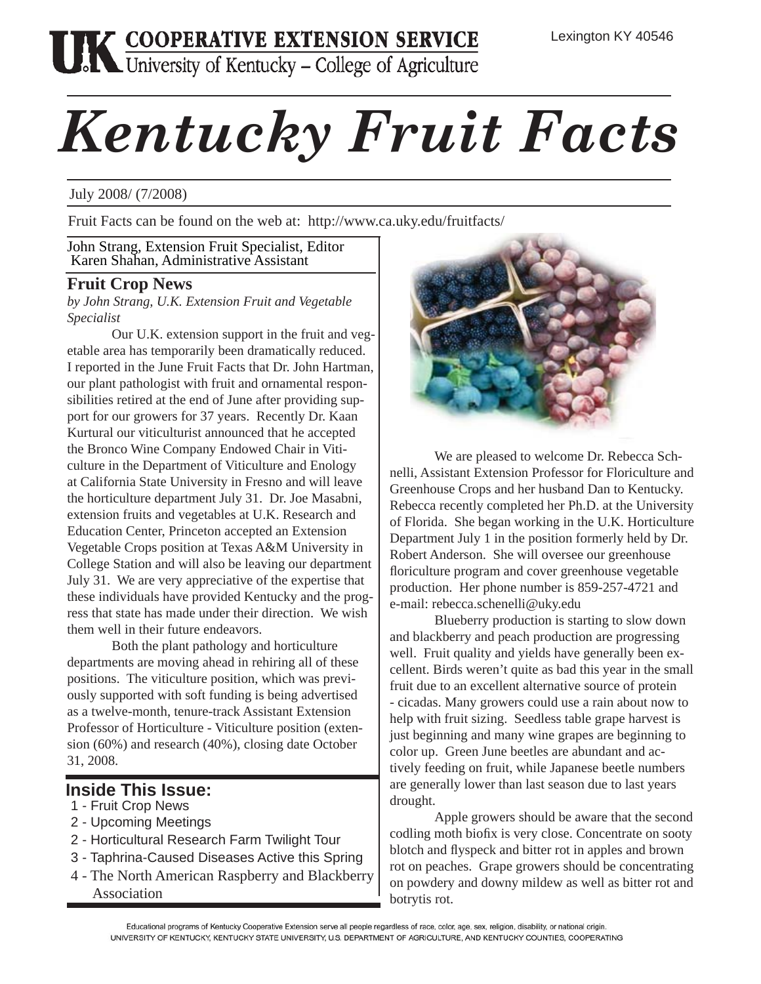# **THE COOPERATIVE EXTENSION SERVICE**<br>University of Kentucky – College of Agriculture

# *Kentucky Fruit Facts*

### July 2008/ (7/2008)

Fruit Facts can be found on the web at: http://www.ca.uky.edu/fruitfacts/

John Strang, Extension Fruit Specialist, Editor Karen Shahan, Administrative Assistant

## **Fruit Crop News**

*by John Strang, U.K. Extension Fruit and Vegetable Specialist*

 Our U.K. extension support in the fruit and vegetable area has temporarily been dramatically reduced. I reported in the June Fruit Facts that Dr. John Hartman, our plant pathologist with fruit and ornamental responsibilities retired at the end of June after providing support for our growers for 37 years. Recently Dr. Kaan Kurtural our viticulturist announced that he accepted the Bronco Wine Company Endowed Chair in Viticulture in the Department of Viticulture and Enology at California State University in Fresno and will leave the horticulture department July 31. Dr. Joe Masabni, extension fruits and vegetables at U.K. Research and Education Center, Princeton accepted an Extension Vegetable Crops position at Texas A&M University in College Station and will also be leaving our department July 31. We are very appreciative of the expertise that these individuals have provided Kentucky and the progress that state has made under their direction. We wish them well in their future endeavors.

 Both the plant pathology and horticulture departments are moving ahead in rehiring all of these positions. The viticulture position, which was previously supported with soft funding is being advertised as a twelve-month, tenure-track Assistant Extension Professor of Horticulture - Viticulture position (extension (60%) and research (40%), closing date October 31, 2008.

# **Inside This Issue:**

- 1 Fruit Crop News
- 2 Upcoming Meetings
- 2 Horticultural Research Farm Twilight Tour
- 3 Taphrina-Caused Diseases Active this Spring
- 4 The North American Raspberry and Blackberry Association



 We are pleased to welcome Dr. Rebecca Schnelli, Assistant Extension Professor for Floriculture and Greenhouse Crops and her husband Dan to Kentucky. Rebecca recently completed her Ph.D. at the University of Florida. She began working in the U.K. Horticulture Department July 1 in the position formerly held by Dr. Robert Anderson. She will oversee our greenhouse floriculture program and cover greenhouse vegetable production. Her phone number is 859-257-4721 and e-mail: rebecca.schenelli@uky.edu

 Blueberry production is starting to slow down and blackberry and peach production are progressing well. Fruit quality and yields have generally been excellent. Birds weren't quite as bad this year in the small fruit due to an excellent alternative source of protein - cicadas. Many growers could use a rain about now to help with fruit sizing. Seedless table grape harvest is just beginning and many wine grapes are beginning to color up. Green June beetles are abundant and actively feeding on fruit, while Japanese beetle numbers are generally lower than last season due to last years drought.

 Apple growers should be aware that the second codling moth biofix is very close. Concentrate on sooty blotch and flyspeck and bitter rot in apples and brown rot on peaches. Grape growers should be concentrating on powdery and downy mildew as well as bitter rot and botrytis rot.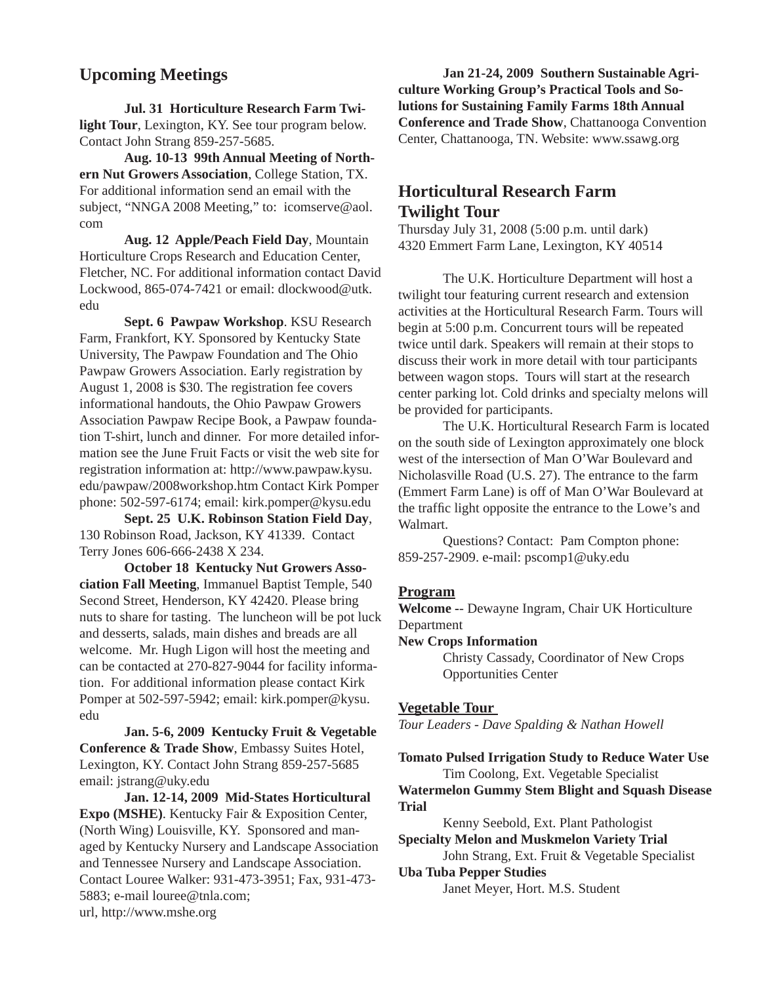# **Upcoming Meetings**

 **Jul. 31 Horticulture Research Farm Twilight Tour**, Lexington, KY. See tour program below. Contact John Strang 859-257-5685.

 **Aug. 10-13 99th Annual Meeting of Northern Nut Growers Association**, College Station, TX. For additional information send an email with the subject, "NNGA 2008 Meeting," to: icomserve@aol. com

**Aug. 12 Apple/Peach Field Day**, Mountain Horticulture Crops Research and Education Center, Fletcher, NC. For additional information contact David Lockwood, 865-074-7421 or email: dlockwood@utk. edu

**Sept. 6 Pawpaw Workshop**. KSU Research Farm, Frankfort, KY. Sponsored by Kentucky State University, The Pawpaw Foundation and The Ohio Pawpaw Growers Association. Early registration by August 1, 2008 is \$30. The registration fee covers informational handouts, the Ohio Pawpaw Growers Association Pawpaw Recipe Book, a Pawpaw foundation T-shirt, lunch and dinner. For more detailed information see the June Fruit Facts or visit the web site for registration information at: http://www.pawpaw.kysu. edu/pawpaw/2008workshop.htm Contact Kirk Pomper phone: 502-597-6174; email: kirk.pomper@kysu.edu

**Sept. 25 U.K. Robinson Station Field Day**, 130 Robinson Road, Jackson, KY 41339. Contact Terry Jones 606-666-2438 X 234.

 **October 18 Kentucky Nut Growers Association Fall Meeting**, Immanuel Baptist Temple, 540 Second Street, Henderson, KY 42420. Please bring nuts to share for tasting. The luncheon will be pot luck and desserts, salads, main dishes and breads are all welcome. Mr. Hugh Ligon will host the meeting and can be contacted at 270-827-9044 for facility information. For additional information please contact Kirk Pomper at 502-597-5942; email: kirk.pomper@kysu. edu

 **Jan. 5-6, 2009 Kentucky Fruit & Vegetable Conference & Trade Show**, Embassy Suites Hotel, Lexington, KY. Contact John Strang 859-257-5685 email: jstrang@uky.edu

 **Jan. 12-14, 2009 Mid-States Horticultural Expo (MSHE)**. Kentucky Fair & Exposition Center, (North Wing) Louisville, KY. Sponsored and managed by Kentucky Nursery and Landscape Association and Tennessee Nursery and Landscape Association. Contact Louree Walker: 931-473-3951; Fax, 931-473- 5883; e-mail louree@tnla.com; url, http://www.mshe.org

 **Jan 21-24, 2009 Southern Sustainable Agriculture Working Group's Practical Tools and Solutions for Sustaining Family Farms 18th Annual Conference and Trade Show**, Chattanooga Convention Center, Chattanooga, TN. Website: www.ssawg.org

# **Horticultural Research Farm Twilight Tour**

Thursday July 31, 2008 (5:00 p.m. until dark) 4320 Emmert Farm Lane, Lexington, KY 40514

 The U.K. Horticulture Department will host a twilight tour featuring current research and extension activities at the Horticultural Research Farm. Tours will begin at 5:00 p.m. Concurrent tours will be repeated twice until dark. Speakers will remain at their stops to discuss their work in more detail with tour participants between wagon stops. Tours will start at the research center parking lot. Cold drinks and specialty melons will be provided for participants.

 The U.K. Horticultural Research Farm is located on the south side of Lexington approximately one block west of the intersection of Man O'War Boulevard and Nicholasville Road (U.S. 27). The entrance to the farm (Emmert Farm Lane) is off of Man O'War Boulevard at the traffic light opposite the entrance to the Lowe's and Walmart.

 Questions? Contact: Pam Compton phone: 859-257-2909. e-mail: pscomp1@uky.edu

#### **Program**

**Welcome -**- Dewayne Ingram, Chair UK Horticulture Department

#### **New Crops Information**

 Christy Cassady, Coordinator of New Crops Opportunities Center

#### **Vegetable Tour**

*Tour Leaders - Dave Spalding & Nathan Howell*

**Tomato Pulsed Irrigation Study to Reduce Water Use**  Tim Coolong, Ext. Vegetable Specialist

**Watermelon Gummy Stem Blight and Squash Disease Trial** 

Kenny Seebold, Ext. Plant Pathologist

**Specialty Melon and Muskmelon Variety Trial**  John Strang, Ext. Fruit & Vegetable Specialist

#### **Uba Tuba Pepper Studies**

Janet Meyer, Hort. M.S. Student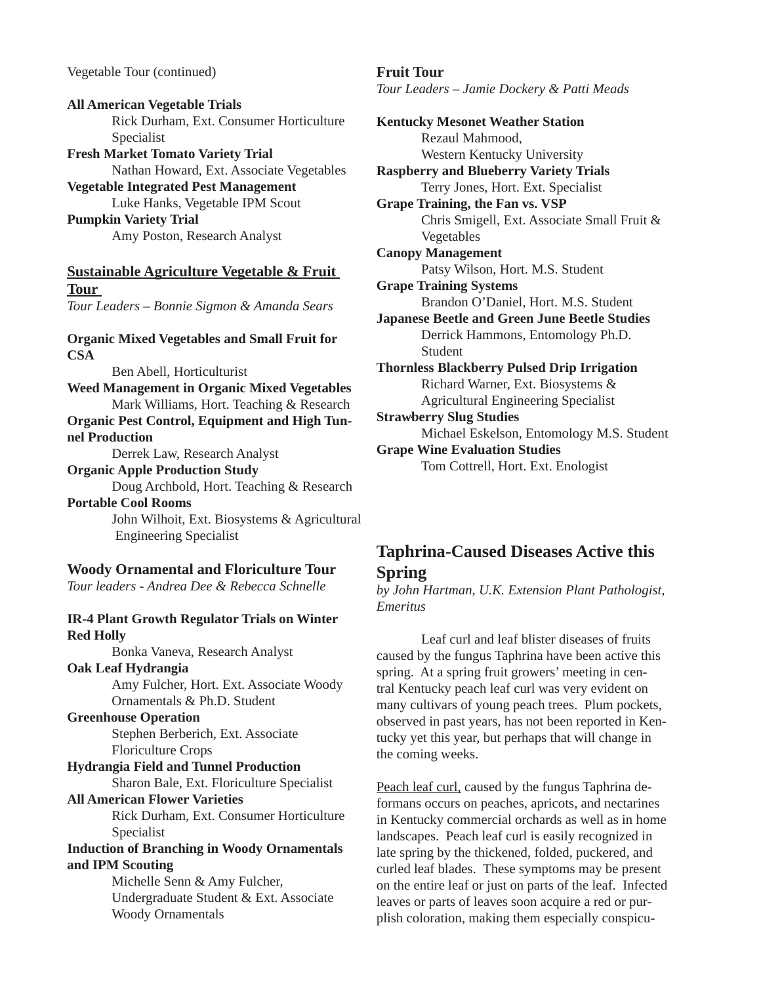Vegetable Tour (continued)

**All American Vegetable Trials** Rick Durham, Ext. Consumer Horticulture Specialist **Fresh Market Tomato Variety Trial** 

 Nathan Howard, Ext. Associate Vegetables **Vegetable Integrated Pest Management** 

 Luke Hanks, Vegetable IPM Scout **Pumpkin Variety Trial** 

Amy Poston, Research Analyst

#### **Sustainable Agriculture Vegetable & Fruit Tour**  *Tour Leaders – Bonnie Sigmon & Amanda Sears*

**Organic Mixed Vegetables and Small Fruit for CSA**

#### Ben Abell, Horticulturist

**Weed Management in Organic Mixed Vegetables**  Mark Williams, Hort. Teaching & Research

**Organic Pest Control, Equipment and High Tunnel Production** 

Derrek Law, Research Analyst

#### **Organic Apple Production Study**

 Doug Archbold, Hort. Teaching & Research **Portable Cool Rooms** 

> John Wilhoit, Ext. Biosystems & Agricultural Engineering Specialist

#### **Woody Ornamental and Floriculture Tour**

*Tour leaders - Andrea Dee & Rebecca Schnelle* 

#### **IR-4 Plant Growth Regulator Trials on Winter Red Holly**

Bonka Vaneva, Research Analyst

#### **Oak Leaf Hydrangia**

 Amy Fulcher, Hort. Ext. Associate Woody Ornamentals & Ph.D. Student

#### **Greenhouse Operation**

 Stephen Berberich, Ext. Associate Floriculture Crops

**Hydrangia Field and Tunnel Production** 

Sharon Bale, Ext. Floriculture Specialist

# **All American Flower Varieties**

 Rick Durham, Ext. Consumer Horticulture Specialist

#### **Induction of Branching in Woody Ornamentals and IPM Scouting**

 Michelle Senn & Amy Fulcher, Undergraduate Student & Ext. Associate Woody Ornamentals

**Fruit Tour**  *Tour Leaders – Jamie Dockery & Patti Meads*

**Kentucky Mesonet Weather Station** Rezaul Mahmood, Western Kentucky University **Raspberry and Blueberry Variety Trials**  Terry Jones, Hort. Ext. Specialist **Grape Training, the Fan vs. VSP**  Chris Smigell, Ext. Associate Small Fruit & Vegetables **Canopy Management**  Patsy Wilson, Hort. M.S. Student **Grape Training Systems**  Brandon O'Daniel, Hort. M.S. Student **Japanese Beetle and Green June Beetle Studies** Derrick Hammons, Entomology Ph.D. Student **Thornless Blackberry Pulsed Drip Irrigation**  Richard Warner, Ext. Biosystems & Agricultural Engineering Specialist **Strawberry Slug Studies** Michael Eskelson, Entomology M.S. Student **Grape Wine Evaluation Studies** 

Tom Cottrell, Hort. Ext. Enologist

# **Taphrina-Caused Diseases Active this Spring**

*by John Hartman, U.K. Extension Plant Pathologist, Emeritus*

 Leaf curl and leaf blister diseases of fruits caused by the fungus Taphrina have been active this spring. At a spring fruit growers' meeting in central Kentucky peach leaf curl was very evident on many cultivars of young peach trees. Plum pockets, observed in past years, has not been reported in Kentucky yet this year, but perhaps that will change in the coming weeks.

Peach leaf curl, caused by the fungus Taphrina deformans occurs on peaches, apricots, and nectarines in Kentucky commercial orchards as well as in home landscapes. Peach leaf curl is easily recognized in late spring by the thickened, folded, puckered, and curled leaf blades. These symptoms may be present on the entire leaf or just on parts of the leaf. Infected leaves or parts of leaves soon acquire a red or purplish coloration, making them especially conspicu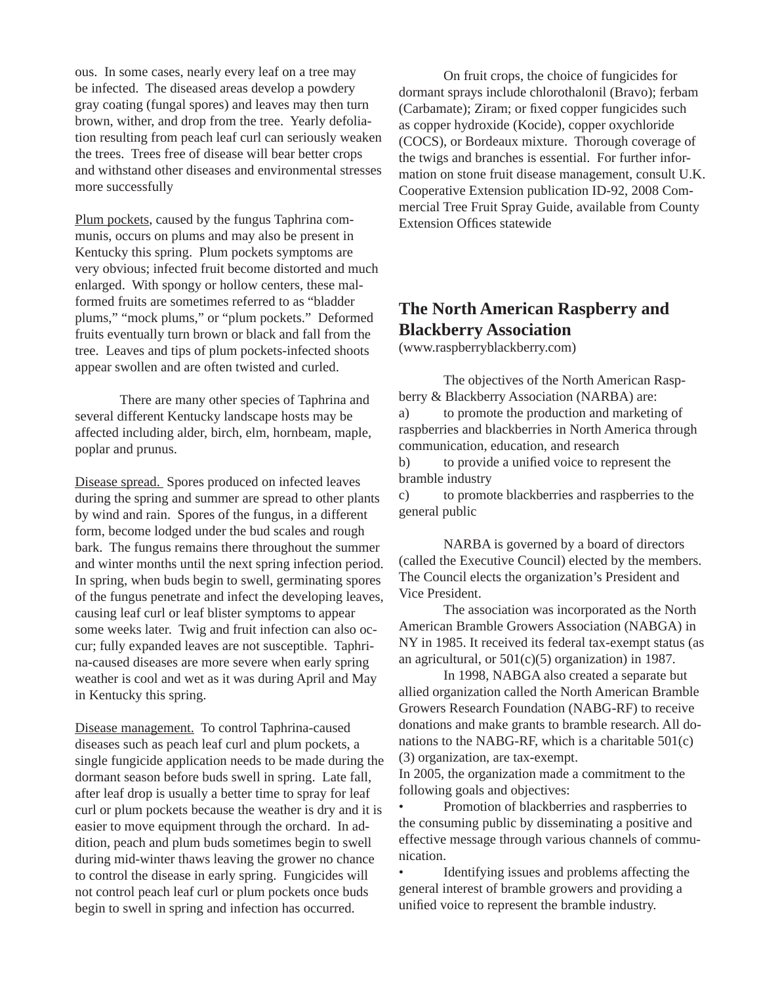ous. In some cases, nearly every leaf on a tree may be infected. The diseased areas develop a powdery gray coating (fungal spores) and leaves may then turn brown, wither, and drop from the tree. Yearly defoliation resulting from peach leaf curl can seriously weaken the trees. Trees free of disease will bear better crops and withstand other diseases and environmental stresses more successfully

Plum pockets, caused by the fungus Taphrina communis, occurs on plums and may also be present in Kentucky this spring. Plum pockets symptoms are very obvious; infected fruit become distorted and much enlarged. With spongy or hollow centers, these malformed fruits are sometimes referred to as "bladder plums," "mock plums," or "plum pockets." Deformed fruits eventually turn brown or black and fall from the tree. Leaves and tips of plum pockets-infected shoots appear swollen and are often twisted and curled.

 There are many other species of Taphrina and several different Kentucky landscape hosts may be affected including alder, birch, elm, hornbeam, maple, poplar and prunus.

Disease spread. Spores produced on infected leaves during the spring and summer are spread to other plants by wind and rain. Spores of the fungus, in a different form, become lodged under the bud scales and rough bark. The fungus remains there throughout the summer and winter months until the next spring infection period. In spring, when buds begin to swell, germinating spores of the fungus penetrate and infect the developing leaves, causing leaf curl or leaf blister symptoms to appear some weeks later. Twig and fruit infection can also occur; fully expanded leaves are not susceptible. Taphrina-caused diseases are more severe when early spring weather is cool and wet as it was during April and May in Kentucky this spring.

Disease management. To control Taphrina-caused diseases such as peach leaf curl and plum pockets, a single fungicide application needs to be made during the dormant season before buds swell in spring. Late fall, after leaf drop is usually a better time to spray for leaf curl or plum pockets because the weather is dry and it is easier to move equipment through the orchard. In addition, peach and plum buds sometimes begin to swell during mid-winter thaws leaving the grower no chance to control the disease in early spring. Fungicides will not control peach leaf curl or plum pockets once buds begin to swell in spring and infection has occurred.

 On fruit crops, the choice of fungicides for dormant sprays include chlorothalonil (Bravo); ferbam (Carbamate); Ziram; or fixed copper fungicides such as copper hydroxide (Kocide), copper oxychloride (COCS), or Bordeaux mixture. Thorough coverage of the twigs and branches is essential. For further information on stone fruit disease management, consult U.K. Cooperative Extension publication ID-92, 2008 Commercial Tree Fruit Spray Guide, available from County Extension Offices statewide

# **The North American Raspberry and Blackberry Association**

(www.raspberryblackberry.com)

 The objectives of the North American Raspberry & Blackberry Association (NARBA) are: a) to promote the production and marketing of raspberries and blackberries in North America through communication, education, and research

b) to provide a unified voice to represent the bramble industry

c) to promote blackberries and raspberries to the general public

 NARBA is governed by a board of directors (called the Executive Council) elected by the members. The Council elects the organization's President and Vice President.

 The association was incorporated as the North American Bramble Growers Association (NABGA) in NY in 1985. It received its federal tax-exempt status (as an agricultural, or  $501(c)(5)$  organization) in 1987.

 In 1998, NABGA also created a separate but allied organization called the North American Bramble Growers Research Foundation (NABG-RF) to receive donations and make grants to bramble research. All donations to the NABG-RF, which is a charitable 501(c) (3) organization, are tax-exempt.

In 2005, the organization made a commitment to the following goals and objectives:

• Promotion of blackberries and raspberries to the consuming public by disseminating a positive and effective message through various channels of communication.

Identifying issues and problems affecting the general interest of bramble growers and providing a unified voice to represent the bramble industry.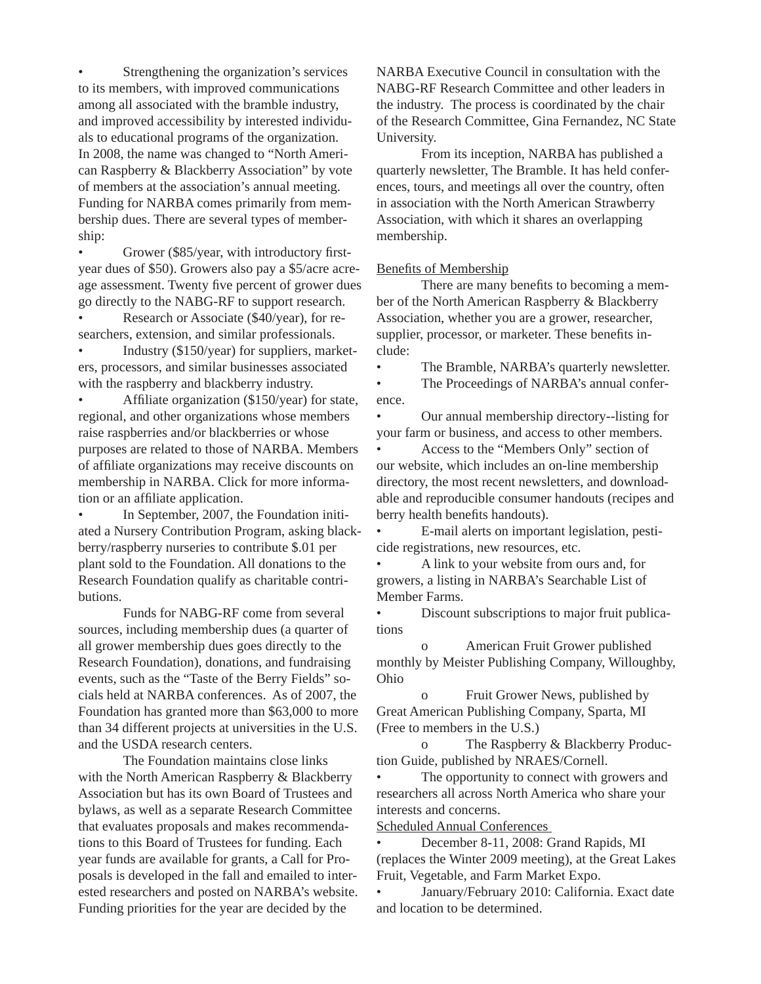Strengthening the organization's services to its members, with improved communications among all associated with the bramble industry, and improved accessibility by interested individuals to educational programs of the organization. In 2008, the name was changed to "North American Raspberry & Blackberry Association" by vote of members at the association's annual meeting. Funding for NARBA comes primarily from membership dues. There are several types of membership:

• Grower (\$85/year, with introductory firstyear dues of \$50). Growers also pay a \$5/acre acreage assessment. Twenty five percent of grower dues go directly to the NABG-RF to support research.

• Research or Associate (\$40/year), for researchers, extension, and similar professionals.

• Industry (\$150/year) for suppliers, marketers, processors, and similar businesses associated with the raspberry and blackberry industry.

Affiliate organization  $(\$150/year)$  for state, regional, and other organizations whose members raise raspberries and/or blackberries or whose purposes are related to those of NARBA. Members of affiliate organizations may receive discounts on membership in NARBA. Click for more information or an affiliate application.

In September, 2007, the Foundation initiated a Nursery Contribution Program, asking blackberry/raspberry nurseries to contribute \$.01 per plant sold to the Foundation. All donations to the Research Foundation qualify as charitable contributions.

 Funds for NABG-RF come from several sources, including membership dues (a quarter of all grower membership dues goes directly to the Research Foundation), donations, and fundraising events, such as the "Taste of the Berry Fields" socials held at NARBA conferences. As of 2007, the Foundation has granted more than \$63,000 to more than 34 different projects at universities in the U.S. and the USDA research centers.

 The Foundation maintains close links with the North American Raspberry & Blackberry Association but has its own Board of Trustees and bylaws, as well as a separate Research Committee that evaluates proposals and makes recommendations to this Board of Trustees for funding. Each year funds are available for grants, a Call for Proposals is developed in the fall and emailed to interested researchers and posted on NARBA's website. Funding priorities for the year are decided by the

NARBA Executive Council in consultation with the NABG-RF Research Committee and other leaders in the industry. The process is coordinated by the chair of the Research Committee, Gina Fernandez, NC State University.

 From its inception, NARBA has published a quarterly newsletter, The Bramble. It has held conferences, tours, and meetings all over the country, often in association with the North American Strawberry Association, with which it shares an overlapping membership.

#### Benefits of Membership

There are many benefits to becoming a member of the North American Raspberry & Blackberry Association, whether you are a grower, researcher, supplier, processor, or marketer. These benefits include:

The Bramble, NARBA's quarterly newsletter.

• The Proceedings of NARBA's annual conference.

• Our annual membership directory--listing for your farm or business, and access to other members.

• Access to the "Members Only" section of our website, which includes an on-line membership directory, the most recent newsletters, and downloadable and reproducible consumer handouts (recipes and berry health benefits handouts).

• E-mail alerts on important legislation, pesticide registrations, new resources, etc.

• A link to your website from ours and, for growers, a listing in NARBA's Searchable List of Member Farms.

• Discount subscriptions to major fruit publications

 o American Fruit Grower published monthly by Meister Publishing Company, Willoughby, Ohio

 o Fruit Grower News, published by Great American Publishing Company, Sparta, MI (Free to members in the U.S.)

 o The Raspberry & Blackberry Production Guide, published by NRAES/Cornell.

The opportunity to connect with growers and researchers all across North America who share your interests and concerns.

Scheduled Annual Conferences

• December 8-11, 2008: Grand Rapids, MI (replaces the Winter 2009 meeting), at the Great Lakes Fruit, Vegetable, and Farm Market Expo.

• January/February 2010: California. Exact date and location to be determined.